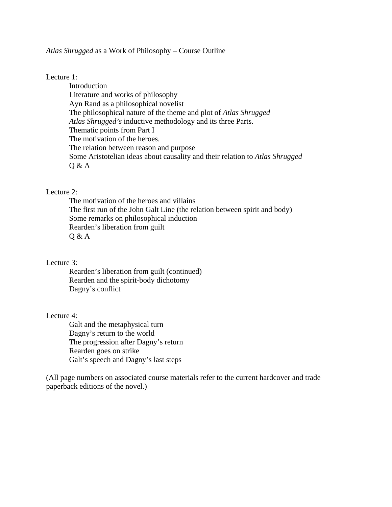### *Atlas Shrugged* as a Work of Philosophy – Course Outline

# Lecture 1:

**Introduction** Literature and works of philosophy Ayn Rand as a philosophical novelist The philosophical nature of the theme and plot of *Atlas Shrugged Atlas Shrugged's* inductive methodology and its three Parts. Thematic points from Part I The motivation of the heroes. The relation between reason and purpose Some Aristotelian ideas about causality and their relation to *Atlas Shrugged* Q & A

# Lecture 2:

The motivation of the heroes and villains The first run of the John Galt Line (the relation between spirit and body) Some remarks on philosophical induction Rearden's liberation from guilt Q & A

#### Lecture 3:

Rearden's liberation from guilt (continued) Rearden and the spirit-body dichotomy Dagny's conflict

## Lecture 4:

Galt and the metaphysical turn Dagny's return to the world The progression after Dagny's return Rearden goes on strike Galt's speech and Dagny's last steps

(All page numbers on associated course materials refer to the current hardcover and trade paperback editions of the novel.)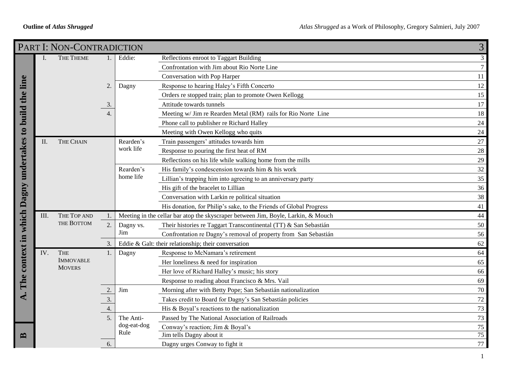|                                                | PART I: NON-CONTRADICTION<br>3 |                                   |                  |                     |                                                                                   |                |  |  |  |
|------------------------------------------------|--------------------------------|-----------------------------------|------------------|---------------------|-----------------------------------------------------------------------------------|----------------|--|--|--|
|                                                | I.                             | THE THEME                         | 1 <sub>1</sub>   | Eddie:              | Reflections enroot to Taggart Building                                            | $\mathfrak{Z}$ |  |  |  |
|                                                |                                |                                   |                  |                     | Confrontation with Jim about Rio Norte Line                                       | $\tau$         |  |  |  |
|                                                |                                |                                   |                  |                     | Conversation with Pop Harper                                                      | 11             |  |  |  |
| line                                           |                                |                                   | $\overline{2}$   | Dagny               | Response to hearing Haley's Fifth Concerto                                        | 12             |  |  |  |
| the                                            |                                |                                   |                  |                     | Orders re stopped train; plan to promote Owen Kellogg                             | 15             |  |  |  |
|                                                |                                |                                   | 3.               |                     | Attitude towards tunnels                                                          | 17             |  |  |  |
|                                                |                                |                                   | $\overline{4}$ . |                     | Meeting w/ Jim re Rearden Metal (RM) rails for Rio Norte Line                     | 18             |  |  |  |
|                                                |                                |                                   |                  |                     | Phone call to publisher re Richard Halley                                         | 24             |  |  |  |
|                                                |                                |                                   |                  |                     | Meeting with Owen Kellogg who quits                                               | 24             |  |  |  |
|                                                | H.                             | THE CHAIN                         |                  | Rearden's           | Train passengers' attitudes towards him                                           | 27             |  |  |  |
|                                                |                                |                                   |                  | work life           | Response to pouring the first heat of RM                                          | 28             |  |  |  |
|                                                |                                |                                   |                  |                     | Reflections on his life while walking home from the mills                         | 29             |  |  |  |
|                                                |                                |                                   |                  | Rearden's           | His family's condescension towards him & his work                                 | 32             |  |  |  |
|                                                |                                |                                   |                  | home life           | Lillian's trapping him into agreeing to an anniversary party                      | 35             |  |  |  |
|                                                |                                |                                   |                  |                     | His gift of the bracelet to Lillian                                               | 36             |  |  |  |
|                                                |                                |                                   |                  |                     | Conversation with Larkin re political situation                                   | 38             |  |  |  |
|                                                |                                |                                   |                  |                     | His donation, for Philip's sake, to the Friends of Global Progress                | 41             |  |  |  |
| The context in which Dagny undertakes to build | III.                           | THE TOP AND<br>THE BOTTOM         |                  |                     | Meeting in the cellar bar atop the skyscraper between Jim, Boyle, Larkin, & Mouch | 44             |  |  |  |
|                                                |                                |                                   | 2.               | Dagny vs.           | Their histories re Taggart Transcontinental (TT) & San Sebastián                  | 50             |  |  |  |
|                                                |                                |                                   |                  | Jim                 | Confrontation re Dagny's removal of property from San Sebastián                   | 56             |  |  |  |
|                                                |                                |                                   | 3.               |                     | Eddie & Galt: their relationship; their conversation                              | 62             |  |  |  |
|                                                | IV.                            | <b>THE</b>                        |                  | Dagny               | Response to McNamara's retirement                                                 | 64             |  |  |  |
|                                                |                                | <b>IMMOVABLE</b><br><b>MOVERS</b> |                  |                     | Her loneliness $\&$ need for inspiration                                          | 65             |  |  |  |
|                                                |                                |                                   |                  |                     | Her love of Richard Halley's music; his story                                     | 66             |  |  |  |
|                                                |                                |                                   |                  |                     | Response to reading about Francisco & Mrs. Vail                                   | 69             |  |  |  |
|                                                |                                |                                   |                  | Jim                 | Morning after with Betty Pope; San Sebastián nationalization                      | 70             |  |  |  |
| ◀                                              |                                |                                   | 3.               |                     | Takes credit to Board for Dagny's San Sebastián policies                          | 72             |  |  |  |
|                                                |                                |                                   | $\overline{4}$ . |                     | His & Boyal's reactions to the nationalization                                    | 73             |  |  |  |
|                                                |                                |                                   | 5 <sub>1</sub>   | The Anti-           | Passed by The National Association of Railroads                                   | 73             |  |  |  |
|                                                |                                |                                   |                  | dog-eat-dog<br>Rule | Conway's reaction; Jim & Boyal's                                                  | 75             |  |  |  |
| ≃                                              |                                |                                   |                  |                     | Jim tells Dagny about it                                                          | 75             |  |  |  |
|                                                |                                |                                   | 6.               |                     | Dagny urges Conway to fight it                                                    | 77             |  |  |  |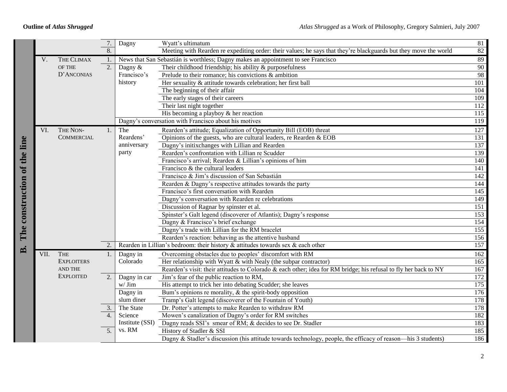|                              |      |                   | 7.               | Dagny                     | Wyatt's ultimatum                                                                                                | 81               |
|------------------------------|------|-------------------|------------------|---------------------------|------------------------------------------------------------------------------------------------------------------|------------------|
|                              |      |                   | 8.               |                           | Meeting with Rearden re expediting order: their values; he says that they're blackguards but they move the world | 82               |
|                              | V.   | THE CLIMAX        | 1.               |                           | News that San Sebastián is worthless; Dagny makes an appointment to see Francisco                                | 89               |
|                              |      | <b>OF THE</b>     | $\overline{2}$ . | Dagny &                   | Their childhood friendship; his ability $\&$ purposefulness                                                      | 90               |
|                              |      | D'ANCONIAS        |                  | Francisco's               | Prelude to their romance; his convictions $\&$ ambition                                                          | 98               |
|                              |      |                   |                  | history                   | Her sexuality & attitude towards celebration; her first ball                                                     | 101              |
|                              |      |                   |                  |                           | The beginning of their affair                                                                                    | 104              |
|                              |      |                   |                  |                           | The early stages of their careers                                                                                | 109              |
|                              |      |                   |                  |                           | Their last night together                                                                                        | 112              |
|                              |      |                   |                  |                           | His becoming a playboy $&$ her reaction                                                                          | $\overline{115}$ |
|                              |      |                   |                  |                           | Dagny's conversation with Francisco about his motives                                                            | 119              |
|                              | VI.  | THE NON-          | 1.               | The                       | Rearden's attitude; Equalization of Opportunity Bill (EOB) threat                                                | 127              |
|                              |      | <b>COMMERCIAL</b> |                  | Reardens'                 | Opinions of the guests, who are cultural leaders, re Rearden & EOB                                               | 131              |
|                              |      |                   |                  | anniversary               | Dagny's initixchanges with Lillian and Rearden                                                                   | 137              |
|                              |      |                   |                  | party                     | Rearden's confrontation with Lillian re Scudder                                                                  | 139              |
|                              |      |                   |                  |                           | Francisco's arrival; Rearden & Lillian's opinions of him                                                         | 140              |
|                              |      |                   |                  |                           | Francisco & the cultural leaders                                                                                 | 141              |
|                              |      |                   |                  |                           | Francisco & Jim's discussion of San Sebastián                                                                    | 142              |
|                              |      |                   |                  |                           | Rearden & Dagny's respective attitudes towards the party                                                         | 144              |
|                              |      |                   |                  |                           | Francisco's first conversation with Rearden                                                                      | 145              |
|                              |      |                   |                  |                           | Dagny's conversation with Rearden re celebrations                                                                | 149              |
|                              |      |                   |                  |                           | Discussion of Ragnar by spinster et al.                                                                          | 151              |
| The construction of the line |      |                   |                  |                           | Spinster's Galt legend (discoverer of Atlantis); Dagny's response                                                | 153              |
|                              |      |                   |                  |                           | Dagny & Francisco's brief exchange                                                                               | 154              |
|                              |      |                   |                  |                           | Dagny's trade with Lillian for the RM bracelet                                                                   | $\overline{155}$ |
|                              |      |                   |                  |                           | Rearden's reaction: behaving as the attentive husband                                                            | 156              |
| $\mathbf{B}$                 |      |                   | 2.               |                           | Rearden in Lillian's bedroom: their history $\&$ attitudes towards sex $\&$ each other                           | 157              |
|                              | VII. | <b>THE</b>        | 1.               | Dagny in                  | Overcoming obstacles due to peoples' discomfort with RM                                                          | 162              |
|                              |      | <b>EXPLOITERS</b> |                  | Colorado                  | Her relationship with Wyatt $&$ with Nealy (the subpar contractor)                                               | 165              |
|                              |      | <b>AND THE</b>    |                  |                           | Rearden's visit: their attitudes to Colorado & each other; idea for RM bridge; his refusal to fly her back to NY | 167              |
|                              |      | <b>EXPLOITED</b>  | 2.               | Dagny in car              | Jim's fear of the public reaction to RM,                                                                         | 172              |
|                              |      |                   |                  | $w/$ Jim                  | His attempt to trick her into debating Scudder; she leaves                                                       | 175              |
|                              |      |                   |                  | Dagny in                  | Bum's opinions re morality, $\&$ the spirit-body opposition                                                      | 176              |
|                              |      |                   |                  | slum diner                | Tramp's Galt legend (discoverer of the Fountain of Youth)                                                        | 178              |
|                              |      |                   | 3.               | The State                 | Dr. Potter's attempts to make Rearden to withdraw RM                                                             | 178              |
|                              |      |                   | 4.               | Science                   | Mowen's canalization of Dagny's order for RM switches                                                            | 182              |
|                              |      |                   |                  | Institute (SSI)<br>vs. RM | Dagny reads SSI's smear of RM; & decides to see Dr. Stadler                                                      | 183              |
|                              |      |                   | $\overline{5}$ . |                           | History of Stadler & SSI                                                                                         | 185              |
|                              |      |                   |                  |                           | Dagny & Stadler's discussion (his attitude towards technology, people, the efficacy of reason—his 3 students)    | 186              |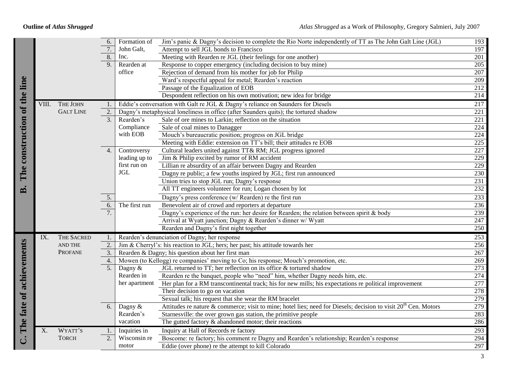|                              |       |                   | 6.               | Formation of  | Jim's panic & Dagny's decision to complete the Rio Norte independently of TT as The John Galt Line (JGL)                    | 193              |
|------------------------------|-------|-------------------|------------------|---------------|-----------------------------------------------------------------------------------------------------------------------------|------------------|
|                              |       |                   | 7.               | John Galt,    | Attempt to sell JGL bonds to Francisco                                                                                      | 197              |
|                              |       |                   | 8.               | Inc.          | Meeting with Rearden re JGL (their feelings for one another)                                                                | 201              |
|                              |       |                   | 9 <sub>1</sub>   | Rearden at    | Response to copper emergency (including decision to buy mine)                                                               | 205              |
|                              |       |                   |                  | office        | Rejection of demand from his mother for job for Philip                                                                      | $\overline{207}$ |
|                              |       |                   |                  |               | Ward's respectful appeal for metal; Rearden's reaction                                                                      | 209              |
|                              |       |                   |                  |               | Passage of the Equalization of EOB                                                                                          | 212              |
| The construction of the line |       |                   |                  |               | Despondent reflection on his own motivation; new idea for bridge                                                            | 214              |
|                              | VIII. | THE JOHN          | 1.               |               | Eddie's conversation with Galt re JGL & Dagny's reliance on Saunders for Diesels                                            | 217              |
|                              |       | <b>GALT LINE</b>  | $\overline{2}$ . |               | Dagny's metaphysical loneliness in office (after Saunders quits); the tortured shadow                                       | 221              |
|                              |       |                   | 3.               | Rearden's     | Sale of ore mines to Larkin; reflection on the situation                                                                    | $\overline{221}$ |
|                              |       |                   |                  | Compliance    | Sale of coal mines to Danagger                                                                                              | 224              |
|                              |       |                   |                  | with EOB      | Mouch's bureaucratic position; progress on JGL bridge                                                                       | 224              |
|                              |       |                   |                  |               | Meeting with Eddie: extension on TT's bill; their attitudes re EOB                                                          | 225              |
|                              |       |                   | $\overline{4}$ . | Controversy   | Cultural leaders united against TT& RM; JGL progress ignored                                                                | 227              |
|                              |       |                   |                  | leading up to | Jim & Philip excited by rumor of RM accident                                                                                | $\overline{229}$ |
|                              |       |                   |                  | first run on  | Lillian re absurdity of an affair between Dagny and Rearden                                                                 | 229              |
|                              |       |                   |                  | <b>JGL</b>    | Dagny re public; a few youths inspired by JGL; first run announced                                                          | 230              |
|                              |       |                   |                  |               | Union tries to stop JGL run; Dagny's response                                                                               | 231              |
| $\mathbf{B}$                 |       |                   |                  |               | All TT engineers volunteer for run; Logan chosen by lot                                                                     | 232              |
|                              |       |                   | 5.               |               | Dagny's press conference (w/ Rearden) re the first run                                                                      | 233              |
|                              |       |                   | 6.               | The first run | Benevolent air of crowd and reporters at departure                                                                          | 236              |
|                              |       |                   | $\overline{7}$ . |               | Dagny's experience of the run: her desire for Rearden; the relation between spirit & body                                   | 239              |
|                              |       |                   |                  |               | Arrival at Wyatt junction; Dagny & Rearden's dinner w/ Wyatt                                                                | 247              |
|                              |       |                   |                  |               | Rearden and Dagny's first night together                                                                                    | 250              |
|                              | IX.   | <b>THE SACRED</b> | $\mathbf{1}$ .   |               | Rearden's denunciation of Dagny; her response                                                                               | 253              |
|                              |       | AND THE           | $\overline{2}$ . |               | Jim & Cherryl's: his reaction to JGL; hers; her past; his attitude towards her                                              | 256              |
|                              |       | <b>PROFANE</b>    | 3.               |               | Rearden & Dagny; his question about her first man                                                                           | 267              |
|                              |       |                   | 4.               |               | Mowen (to Kellogg) re companies' moving to Co; his response; Mouch's promotion, etc.                                        | 269              |
|                              |       |                   | $\overline{5}$ . | Dagny &       | JGL returned to TT; her reflection on its office & tortured shadow                                                          | 273              |
|                              |       |                   |                  | Rearden in    | Rearden re the banquet, people who "need" him, whether Dagny needs him, etc.                                                | 274              |
|                              |       |                   |                  | her apartment | Her plan for a RM transcontinental track; his for new mills; his expectations re political improvement                      | 277              |
|                              |       |                   |                  |               | Their decision to go on vacation                                                                                            | 278              |
|                              |       |                   |                  |               | Sexual talk; his request that she wear the RM bracelet                                                                      | 279              |
|                              |       |                   | 6.               | Dagny &       | Attitudes re nature & commerce; visit to mine; hotel lies; need for Diesels; decision to visit 20 <sup>th</sup> Cen. Motors | 279              |
|                              |       |                   |                  | Rearden's     | Starnesville: the over grown gas station, the primitive people                                                              | 283              |
|                              |       |                   |                  | vacation      | The gutted factory $\&$ abandoned motor; their reactions                                                                    | 286              |
| The fate of achievements     | X.    | WYATT'S           | 1.               | Inquiries in  | Inquiry at Hall of Records re factory                                                                                       | 293              |
| ن                            |       | <b>TORCH</b>      | 2.               | Wisconsin re  | Boscome: re factory; his comment re Dagny and Rearden's relationship; Rearden's response                                    | 294              |
|                              |       |                   |                  | motor         | Eddie (over phone) re the attempt to kill Colorado                                                                          | 297              |
|                              |       |                   |                  |               |                                                                                                                             |                  |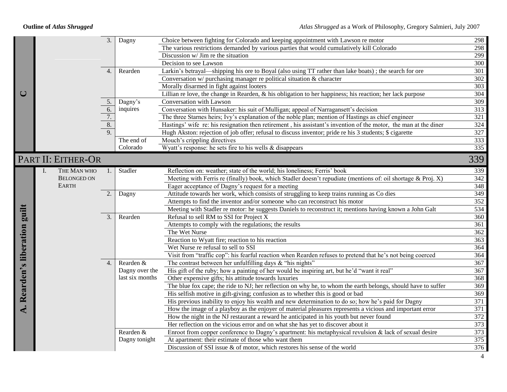|                       |                |                    | $\overline{3}$ . | Dagny           | Choice between fighting for Colorado and keeping appointment with Lawson re motor                                | 298              |
|-----------------------|----------------|--------------------|------------------|-----------------|------------------------------------------------------------------------------------------------------------------|------------------|
|                       |                |                    |                  |                 | The various restrictions demanded by various parties that would cumulatively kill Colorado                       | 298              |
|                       |                |                    |                  |                 | Discussion w/ Jim re the situation                                                                               | 299              |
|                       |                |                    |                  |                 | Decision to see Lawson                                                                                           | 300              |
|                       |                |                    | $\overline{4}$ . | Rearden         | Larkin's betrayal—shipping his ore to Boyal (also using TT rather than lake boats); the search for ore           | 301              |
|                       |                |                    |                  |                 | Conversation $w$ purchasing manager re political situation $\&$ character                                        | $\overline{302}$ |
|                       |                |                    |                  |                 | Morally disarmed in fight against looters                                                                        | 303              |
| $\cup$                |                |                    |                  |                 | Lillian re love, the change in Rearden, & his obligation to her happiness; his reaction; her lack purpose        | 304              |
|                       |                |                    | 5.               | Dagny's         | Conversation with Lawson                                                                                         | 309              |
|                       |                |                    | $rac{6.}{7.}$    | inquires        | Conversation with Hunsaker: his suit of Mulligan; appeal of Narragansett's decision                              | 313              |
|                       |                |                    |                  |                 | The three Starnes heirs; Ivy's explanation of the noble plan; mention of Hastings as chief engineer              | 321              |
|                       |                |                    | $\overline{8}$ . |                 | Hastings' wife re: his resignation then retirement, his assistant's invention of the motor, the man at the diner | 324              |
|                       |                |                    | 9.               |                 | Hugh Akston: rejection of job offer; refusal to discuss inventor; pride re his 3 students; \$ cigarette          | $\overline{327}$ |
|                       |                |                    |                  | The end of      | Mouch's crippling directives                                                                                     | 333              |
|                       |                |                    |                  | Colorado        | Wyatt's response: he sets fire to his wells & disappears                                                         | $\overline{335}$ |
|                       |                | PART II: EITHER-OR |                  |                 |                                                                                                                  | 339              |
|                       | $\mathbf{I}$ . | THE MAN WHO        |                  | Stadler         | Reflection on: weather; state of the world; his loneliness; Ferris' book                                         | 339              |
|                       |                | <b>BELONGED ON</b> |                  |                 | Meeting with Ferris re (finally) book, which Stadler doesn't repudiate (mentions of: oil shortage & Proj. X)     | $\overline{342}$ |
|                       |                | <b>EARTH</b>       |                  |                 | Eager acceptance of Dagny's request for a meeting                                                                | 348              |
|                       |                |                    | 2.               | Dagny           | Attitude towards her work, which consists of struggling to keep trains running as Co dies                        | 349              |
|                       |                |                    |                  |                 | Attempts to find the inventor and/or someone who can reconstruct his motor                                       | 352              |
|                       |                |                    |                  |                 | Meeting with Stadler re motor: he suggests Daniels to reconstruct it; mentions having known a John Galt          | 534              |
| guilt                 |                |                    | 3.               | Rearden         | Refusal to sell RM to SSI for Project X                                                                          | $\overline{360}$ |
|                       |                |                    |                  |                 | Attempts to comply with the regulations; the results                                                             | 361              |
|                       |                |                    |                  |                 | The Wet Nurse                                                                                                    | $\frac{1}{362}$  |
|                       |                |                    |                  |                 | Reaction to Wyatt fire; reaction to his reaction                                                                 | 363              |
|                       |                |                    |                  |                 | Wet Nurse re refusal to sell to SSI                                                                              | 364              |
| Rearden's liberation  |                |                    |                  |                 | Visit from "traffic cop": his fearful reaction when Rearden refuses to pretend that he's not being coerced       | 364              |
|                       |                |                    | 4.               | Rearden &       | The contrast between her unfulfilling days $\&$ "his nights"                                                     | $\overline{367}$ |
|                       |                |                    |                  | Dagny over the  | His gift of the ruby; how a painting of her would be inspiring art, but he'd "want it real"                      | 367              |
|                       |                |                    |                  | last six months | Other expensive gifts; his attitude towards luxuries                                                             | $\overline{368}$ |
|                       |                |                    |                  |                 | The blue fox cape; the ride to NJ; her reflection on why he, to whom the earth belongs, should have to suffer    | 369              |
|                       |                |                    |                  |                 | His selfish motive in gift-giving; confusion as to whether this is good or bad                                   | $\overline{369}$ |
|                       |                |                    |                  |                 | His previous inability to enjoy his wealth and new determination to do so; how he's paid for Dagny               | 371              |
| $\ddot{\mathbf{A}}$ . |                |                    |                  |                 | How the image of a playboy as the enjoyer of material pleasures represents a vicious and important error         | 371              |
|                       |                |                    |                  |                 | How the night in the NJ restaurant a reward he anticipated in his youth but never found                          | 372              |
|                       |                |                    |                  |                 | Her reflection on the vicious error and on what she has yet to discover about it                                 | 373              |
|                       |                |                    |                  | Rearden &       | Enroot from copper conference to Dagny's apartment: his metaphysical revulsion $\&$ lack of sexual desire        | 373              |
|                       |                |                    |                  | Dagny tonight   | At apartment: their estimate of those who want them                                                              | 375              |
|                       |                |                    |                  |                 | Discussion of SSI issue $\&$ of motor, which restores his sense of the world                                     | $\overline{376}$ |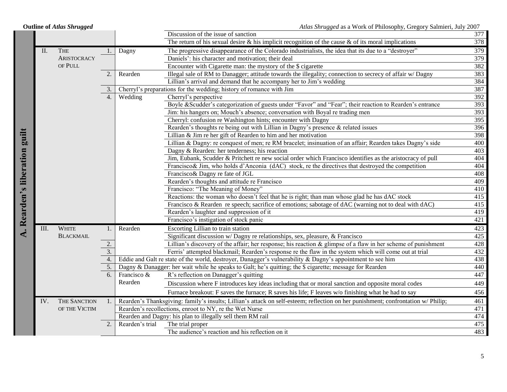|                               |     | <b>Outline of Atlas Shrugged</b> |                  |                 | Atlas Shrugged as a Work of Philosophy, Gregory Salmieri, July 2007                                                               |     |
|-------------------------------|-----|----------------------------------|------------------|-----------------|-----------------------------------------------------------------------------------------------------------------------------------|-----|
|                               |     |                                  |                  |                 | Discussion of the issue of sanction                                                                                               | 377 |
|                               |     |                                  |                  |                 | The return of his sexual desire $\&$ his implicit recognition of the cause $\&$ of its moral implications                         | 378 |
|                               | II. | <b>THE</b>                       | 1.               | Dagny           | The progressive disappearance of the Colorado industrialists, the idea that its due to a "destroyer"                              | 379 |
|                               |     | <b>ARISTOCRACY</b>               |                  |                 | Daniels': his character and motivation; their deal                                                                                | 379 |
|                               |     | OF PULL                          |                  |                 | Encounter with Cigarette man: the mystory of the \$ cigarette                                                                     | 382 |
|                               |     |                                  | 2.               | Rearden         | Illegal sale of RM to Danagger; attitude towards the illegality; connection to secrecy of affair w/ Dagny                         | 383 |
|                               |     |                                  |                  |                 | Lillian's arrival and demand that he accompany her to Jim's wedding                                                               | 384 |
|                               |     |                                  | 3.               |                 | Cherryl's preparations for the wedding; history of romance with Jim                                                               | 387 |
|                               |     |                                  | 4.               | Wedding         | Cherryl's perspective                                                                                                             | 392 |
|                               |     |                                  |                  |                 | Boyle & Scudder's categorization of guests under "Favor" and "Fear"; their reaction to Rearden's entrance                         | 393 |
|                               |     |                                  |                  |                 | Jim: his hangers on; Mouch's absence; conversation with Boyal re trading men                                                      | 393 |
|                               |     |                                  |                  |                 | Cherryl: confusion re Washington hints; encounter with Dagny                                                                      | 395 |
|                               |     |                                  |                  |                 | Rearden's thoughts re being out with Lillian in Dagny's presence & related issues                                                 | 396 |
|                               |     |                                  |                  |                 | Lillian & Jim re her gift of Rearden to him and her motivation                                                                    | 398 |
|                               |     |                                  |                  |                 | Lillian & Dagny: re conquest of men; re RM bracelet; insinuation of an affair; Rearden takes Dagny's side                         | 400 |
|                               |     |                                  |                  |                 | Dagny & Rearden: her tenderness; his reaction                                                                                     | 403 |
|                               |     |                                  |                  |                 | Jim, Eubank, Scudder & Pritchett re new social order which Francisco identifies as the aristocracy of pull                        | 404 |
|                               |     |                                  |                  |                 | Francisco& Jim, who holds d'Anconia (dAC) stock, re the directives that destroyed the competition                                 | 404 |
|                               |     |                                  |                  |                 | Francisco & Dagny re fate of JGL                                                                                                  | 408 |
|                               |     |                                  |                  |                 | Rearden's thoughts and attitude re Francisco                                                                                      | 409 |
|                               |     |                                  |                  |                 | Francisco: "The Meaning of Money"                                                                                                 | 410 |
|                               |     |                                  |                  |                 | Reactions: the woman who doesn't feel that he is right; than man whose glad he has dAC stock                                      | 415 |
|                               |     |                                  |                  |                 | Francisco & Rearden re speech; sacrifice of emotions; sabotage of dAC (warning not to deal with dAC)                              | 415 |
|                               |     |                                  |                  |                 | Rearden's laughter and suppression of it                                                                                          | 419 |
| A. Rearden's liberation guilt |     |                                  |                  |                 | Francisco's instigation of stock panic                                                                                            | 421 |
|                               | Ш.  | <b>WHITE</b>                     | 1.               | Rearden         | Escorting Lillian to train station                                                                                                | 423 |
|                               |     | <b>BLACKMAIL</b>                 |                  |                 | Significant discussion w/ Dagny re relationships, sex, pleasure, & Francisco                                                      | 425 |
|                               |     |                                  | 2.               |                 | Lillian's discovery of the affair; her response; his reaction $\&$ glimpse of a flaw in her scheme of punishment                  | 428 |
|                               |     |                                  | $\overline{3}$ . |                 | Ferris' attempted blackmail; Rearden's response re the flaw in the system which will come out at trial                            | 432 |
|                               |     |                                  |                  |                 | Eddie and Galt re state of the world, destroyer, Danagger's vulnerability $\&$ Dagny's appointment to see him                     | 438 |
|                               | 5.  |                                  |                  |                 | Dagny & Danagger: her wait while he speaks to Galt; he's quitting; the \$ cigarette; message for Rearden                          | 440 |
|                               |     |                                  | 6.               | Francisco &     | R's reflection on Danagger's quitting                                                                                             | 447 |
|                               |     |                                  |                  | Rearden         | Discussion where F introduces key ideas including that or moral sanction and opposite moral codes                                 | 449 |
|                               |     |                                  |                  |                 | Furnace breakout: F saves the furnace; R saves his life; F leaves w/o finishing what he had to say                                | 456 |
|                               | IV. | THE SANCTION                     | 1.               |                 | Rearden's Thanksgiving: family's insults; Lillian's attack on self-esteem; reflection on her punishment; confrontation w/ Philip; | 461 |
|                               |     | OF THE VICTIM                    |                  |                 | Rearden's recollections, enroot to NY, re the Wet Nurse                                                                           | 471 |
|                               |     |                                  |                  |                 | Rearden and Dagny: his plan to illegally sell them RM rail                                                                        | 474 |
|                               |     |                                  | 2.               | Rearden's trial | The trial proper                                                                                                                  | 475 |
|                               |     |                                  |                  |                 | The audience's reaction and his reflection on it                                                                                  | 483 |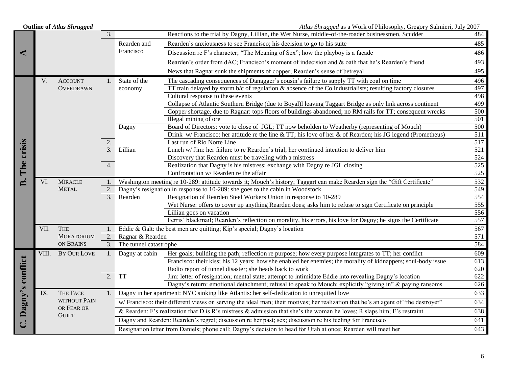| <b>Outline of Atlas Shrugged</b> |       |                   |                  | Atlas Shrugged as a Work of Philosophy, Gregory Salmieri, July 2007 |                                                                                                                                   |                  |
|----------------------------------|-------|-------------------|------------------|---------------------------------------------------------------------|-----------------------------------------------------------------------------------------------------------------------------------|------------------|
|                                  |       |                   | 3.               |                                                                     | Reactions to the trial by Dagny, Lillian, the Wet Nurse, middle-of-the-roader businessmen, Scudder                                | 484              |
|                                  |       |                   |                  | Rearden and                                                         | Rearden's anxiousness to see Francisco; his decision to go to his suite                                                           | 485              |
| ⋖                                |       |                   |                  | Francisco                                                           | Discussion re F's character; "The Meaning of Sex"; how the playboy is a façade                                                    | 486              |
|                                  |       |                   |                  |                                                                     | Rearden's order from dAC; Francisco's moment of indecision and & oath that he's Rearden's friend                                  | 493              |
|                                  |       |                   |                  |                                                                     | News that Ragnar sunk the shipments of copper; Rearden's sense of betreyal                                                        | 495              |
|                                  | V.    | <b>ACCOUNT</b>    | 1.               | State of the                                                        | The cascading consequences of Danagger's cousin's failure to supply TT with coal on time                                          | 496              |
|                                  |       | <b>OVERDRAWN</b>  |                  | economy                                                             | TT train delayed by storm $b/c$ of regulation & absence of the Co industrialists; resulting factory closures                      | 497              |
|                                  |       |                   |                  |                                                                     | Cultural response to these events                                                                                                 | 498              |
|                                  |       |                   |                  |                                                                     | Collapse of Atlantic Southern Bridge (due to Boyal)l leaving Taggart Bridge as only link across continent                         | 499              |
|                                  |       |                   |                  |                                                                     | Copper shortage, due to Ragnar: tops floors of buildings abandoned; no RM rails for TT; consequent wrecks                         | 500              |
|                                  |       |                   |                  |                                                                     | Illegal mining of ore                                                                                                             | $\overline{501}$ |
|                                  |       |                   |                  | Dagny                                                               | Board of Directors: vote to close of JGL; TT now beholden to Weatherby (representing of Mouch)                                    | $\overline{500}$ |
|                                  |       |                   |                  |                                                                     | Drink w/Francisco: her attitude re the line & TT; his love of her & of Rearden; his JG legend (Prometheus)                        | 511              |
|                                  |       |                   |                  |                                                                     | Last run of Rio Norte Line                                                                                                        | 517              |
| The crisis                       |       |                   |                  | Lillian                                                             | Lunch w/ Jim: her failure to re Rearden's trial; her continued intention to deliver him                                           | 521              |
|                                  |       |                   |                  |                                                                     | Discovery that Rearden must be traveling with a mistress                                                                          | 524              |
|                                  |       |                   | 4.               |                                                                     | Realization that Dagny is his mistress; exchange with Dagny re JGL closing                                                        | 525              |
|                                  |       |                   |                  |                                                                     | Confrontation w/ Rearden re the affair                                                                                            | 525              |
| ≃                                | VI.   | <b>MIRACLE</b>    |                  |                                                                     | Washington meeting re 10-289: attitude towards it; Mouch's history; Taggart can make Rearden sign the "Gift Certificate"          | 532              |
|                                  |       | <b>METAL</b>      | 2.               |                                                                     | Dagny's resignation in response to 10-289: she goes to the cabin in Woodstock                                                     | 549              |
|                                  |       |                   | 3.               | Rearden                                                             | Resignation of Rearden Steel Workers Union in response to 10-289                                                                  | 554              |
|                                  |       |                   |                  |                                                                     | Wet Nurse: offers to cover up anything Rearden does; asks him to refuse to sign Certificate on principle                          | $\overline{555}$ |
|                                  |       |                   |                  |                                                                     | Lillian goes on vacation                                                                                                          | 556              |
|                                  |       |                   |                  |                                                                     | Ferris' blackmail; Rearden's reflection on morality, his errors, his love for Dagny; he signs the Certificate                     | 557              |
|                                  | VII.  | THE               |                  |                                                                     | Eddie & Galt: the best men are quitting; Kip's special; Dagny's location                                                          | 567              |
|                                  |       | <b>MORATORIUM</b> | 2.               | Ragnar & Rearden                                                    |                                                                                                                                   | 571              |
|                                  |       | ON BRAINS         | 3.               | The tunnel catastrophe                                              |                                                                                                                                   | 584              |
|                                  | VIII. | BY OUR LOVE       | 1.               | Dagny at cabin                                                      | Her goals; building the path; reflection re purpose; how every purpose integrates to TT; her conflict                             | 609              |
| conflict                         |       |                   |                  |                                                                     | Francisco: their kiss; his 12 years; how she enabled her enemies; the morality of kidnappers; soul-body issue                     | 613              |
|                                  |       |                   |                  |                                                                     | Radio report of tunnel disaster; she heads back to work                                                                           | 620              |
|                                  |       |                   | $\overline{2}$ . | <b>TT</b>                                                           | Jim: letter of resignation; mental state; attempt to intimidate Eddie into revealing Dagny's location                             | 622              |
| $\boldsymbol{\varphi}$           |       |                   |                  |                                                                     | Dagny's return: emotional detachment; refusal to speak to Mouch; explicitly "giving in" & paying ransoms                          | 626              |
|                                  | IX.   | <b>THE FACE</b>   | 1.               |                                                                     | Dagny in her apartment: NYC sinking like Atlantis: her self-dedication to unrequited love                                         | 633              |
|                                  |       | WITHOUT PAIN      |                  |                                                                     | w/Francisco: their different views on serving the ideal man; their motives; her realization that he's an agent of "the destroyer" | 634              |
| Dagny'                           |       | OR FEAR OR        |                  |                                                                     | & Rearden: F's realization that D is R's mistress & admission that she's the woman he loves; R slaps him; F's restraint           | 638              |
|                                  |       | <b>GUILT</b>      |                  |                                                                     | Dagny and Rearden: Rearden's regret; discussion re her past; sex; discussion re his feeling for Francisco                         | 641              |
|                                  |       |                   |                  |                                                                     | Resignation letter from Daniels; phone call; Dagny's decision to head for Utah at once; Rearden will meet her                     | $\overline{643}$ |
|                                  |       |                   |                  |                                                                     |                                                                                                                                   |                  |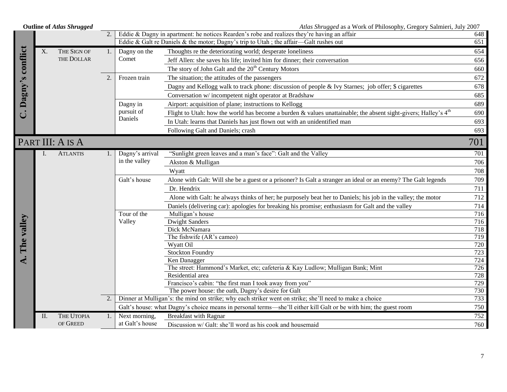| <b>Outline of Atlas Shrugged</b> |     |                  |    | Atlas Shrugged as a Work of Philosophy, Gregory Salmieri, July 2007 |                                                                                                                  |                  |
|----------------------------------|-----|------------------|----|---------------------------------------------------------------------|------------------------------------------------------------------------------------------------------------------|------------------|
|                                  |     |                  |    |                                                                     | Eddie & Dagny in apartment: he notices Rearden's robe and realizes they're having an affair                      | 648              |
|                                  |     |                  |    |                                                                     | Eddie & Galt re Daniels & the motor; Dagny's trip to Utah; the affair—Galt rushes out                            | 651              |
|                                  | X.  | THE SIGN OF      |    | Dagny on the                                                        | Thoughts re the deteriorating world; desperate loneliness                                                        | 654              |
|                                  |     | THE DOLLAR       |    | Comet                                                               | Jeff Allen: she saves his life; invited him for dinner; their conversation                                       | 656              |
|                                  |     |                  |    |                                                                     | The story of John Galt and the 20 <sup>th</sup> Century Motors                                                   | 660              |
|                                  |     |                  | 2. | Frozen train                                                        | The situation; the attitudes of the passengers                                                                   | 672              |
|                                  |     |                  |    |                                                                     | Dagny and Kellogg walk to track phone: discussion of people & Ivy Starnes; job offer; \$ cigarettes              | 678              |
|                                  |     |                  |    |                                                                     | Conversation w/ incompetent night operator at Bradshaw                                                           | 685              |
| Dagny's conflict                 |     |                  |    | Dagny in                                                            | Airport: acquisition of plane; instructions to Kellogg                                                           | 689              |
| ݨ                                |     |                  |    | pursuit of                                                          | Flight to Utah: how the world has become a burden & values unattainable; the absent sight-givers; Halley's $4th$ | 690              |
|                                  |     |                  |    | Daniels                                                             | In Utah: learns that Daniels has just flown out with an unidentified man                                         | 693              |
|                                  |     |                  |    |                                                                     | Following Galt and Daniels; crash                                                                                | 693              |
|                                  |     | PART III: A IS A |    |                                                                     |                                                                                                                  | 701              |
|                                  |     |                  |    |                                                                     |                                                                                                                  |                  |
|                                  |     | <b>ATLANTIS</b>  | 1. | Dagny's arrival                                                     | "Sunlight green leaves and a man's face": Galt and the Valley                                                    | 701              |
|                                  |     |                  |    | in the valley                                                       | Akston & Mulligan                                                                                                | 706              |
|                                  |     |                  |    |                                                                     | Wyatt                                                                                                            | 708              |
|                                  |     |                  |    | Galt's house                                                        | Alone with Galt: Will she be a guest or a prisoner? Is Galt a stranger an ideal or an enemy? The Galt legends    | 709              |
|                                  |     |                  |    |                                                                     | Dr. Hendrix                                                                                                      | 711              |
|                                  |     |                  |    |                                                                     | Alone with Galt: he always thinks of her; he purposely beat her to Daniels; his job in the valley; the motor     | 712              |
|                                  |     |                  |    |                                                                     | Daniels (delivering car): apologies for breaking his promise; enthusiasm for Galt and the valley                 | 714              |
|                                  |     |                  |    | Tour of the                                                         | Mulligan's house                                                                                                 | 716              |
| The valley                       |     |                  |    | Valley                                                              | <b>Dwight Sanders</b>                                                                                            | 716              |
|                                  |     |                  |    |                                                                     | Dick McNamara                                                                                                    | 718              |
|                                  |     |                  |    |                                                                     | The fishwife (AR's cameo)                                                                                        | 719              |
|                                  |     |                  |    |                                                                     | Wyatt Oil                                                                                                        | 720<br>723       |
|                                  |     |                  |    |                                                                     | <b>Stockton Foundry</b><br>Ken Danagger                                                                          | 724              |
|                                  |     |                  |    |                                                                     | The street: Hammond's Market, etc; cafeteria & Kay Ludlow; Mulligan Bank; Mint                                   | $\overline{726}$ |
|                                  |     |                  |    |                                                                     | Residential area                                                                                                 | 728              |
|                                  |     |                  |    |                                                                     | Francisco's cabin: "the first man I took away from you"                                                          | 729              |
|                                  |     |                  |    |                                                                     | The power house: the oath, Dagny's desire for Galt                                                               | 730              |
|                                  |     |                  |    |                                                                     | Dinner at Mulligan's: the mind on strike; why each striker went on strike; she'll need to make a choice          | 733              |
|                                  |     |                  |    |                                                                     | Galt's house: what Dagny's choice means in personal terms—she'll either kill Galt or be with him; the guest room | 750              |
|                                  | II. | THE UTOPIA       | 1. | Next morning,                                                       | <b>Breakfast with Ragnar</b>                                                                                     | 752              |
|                                  |     | OF GREED         |    | at Galt's house                                                     | Discussion w/ Galt: she'll word as his cook and housemaid                                                        | 760              |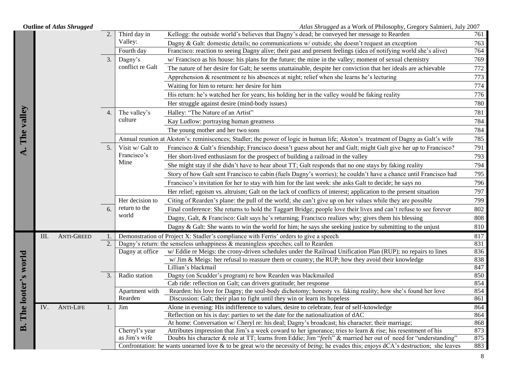|                              | <b>Outline of Atlas Shrugged</b> |    |                  | Atlas Shrugged as a Work of Philosophy, Gregory Salmieri, July 2007                                                                     |            |
|------------------------------|----------------------------------|----|------------------|-----------------------------------------------------------------------------------------------------------------------------------------|------------|
|                              |                                  | 2. | Third day in     | Kellogg: the outside world's believes that Dagny's dead; he conveyed her message to Rearden                                             | 761        |
|                              |                                  |    | Valley:          | Dagny & Galt: domestic details; no communications $w$ outside; she doesn't request an exception                                         | 763        |
|                              |                                  |    | Fourth day       | Francisco: reaction to seeing Dagny alive; their past and present feelings (idea of notifying world she's alive)                        | 764        |
|                              |                                  | 3. | Dagny's          | w/ Francisco as his house: his plans for the future; the mine in the valley; moment of sexual chemistry                                 | 769        |
|                              |                                  |    | conflict re Galt | The nature of her desire for Galt; he seems unattainable, despite her conviction that her ideals are achievable                         | 772        |
|                              |                                  |    |                  | Apprehension $\&$ resentment re his absences at night; relief when she learns he's lecturing                                            | 773        |
|                              |                                  |    |                  | Waiting for him to return: her desire for him                                                                                           | 774        |
|                              |                                  |    |                  | His return: he's watched her for years; his holding her in the valley would be faking reality                                           | 776        |
|                              |                                  |    |                  | Her struggle against desire (mind-body issues)                                                                                          | 780        |
|                              |                                  | 4. | The valley's     | Halley: "The Nature of an Artist"                                                                                                       | 781        |
|                              |                                  |    | culture          | Kay Ludlow: portraying human greatness                                                                                                  | 784        |
|                              |                                  |    |                  | The young mother and her two sons                                                                                                       | 784        |
| A. The valley                |                                  |    |                  | Annual reunion at Akston's: reminiscences; Stadler; the power of logic in human life; Akston's treatment of Dagny as Galt's wife        | 785        |
|                              |                                  | 5. | Visit w/ Galt to | Francisco & Galt's friendship; Francisco doesn't guess about her and Galt; might Galt give her up to Francisco?                         | 791        |
|                              |                                  |    | Francisco's      | Her short-lived enthusiasm for the prospect of building a railroad in the valley                                                        | 793        |
|                              |                                  |    | Mine             | She might stay if she didn't have to hear about TT; Galt responds that no one stays by faking reality                                   | 794        |
|                              |                                  |    |                  | Story of how Galt sent Francisco to cabin (fuels Dagny's worries); he couldn't have a chance until Francisco had                        | 795        |
|                              |                                  |    |                  | Francisco's invitation for her to stay with him for the last week: she asks Galt to decide; he says no                                  | 796        |
|                              |                                  |    |                  | Her relief; egoism vs. altruism; Galt on the lack of conflicts of interest; application to the present situation                        | 797        |
|                              |                                  |    | Her decision to  | Citing of Rearden's plane: the pull of the world; she can't give up on her values while they are possible                               | 799        |
|                              |                                  | 6. | return to the    | Final conference: She returns to hold the Taggart Bridge; people love their lives and can't refuse to see forever                       | 802        |
|                              |                                  |    | world            | Dagny, Galt, & Francisco: Galt says he's returning; Francisco realizes why; gives them his blessing                                     | 808        |
|                              |                                  |    |                  | Dagny $\&$ Galt: She wants to win the world for him; he says she seeking justice by submitting to the unjust                            | 810        |
|                              | <b>ANTI-GREED</b><br>III.        | 1. |                  | Demonstration of Project X: Stadler's compliance with Ferris' orders to give a speech                                                   | 817        |
|                              |                                  | 2. |                  | Dagny's return: the senseless unhappiness $\&$ meaningless speeches; call to Rearden                                                    | 831        |
|                              |                                  |    | Dagny at office  | w/ Eddie re Meigs: the crony-driven schedules under the Railroad Unification Plan (RUP); no repairs to lines                            | 836        |
|                              |                                  |    |                  | w/ Jim & Meigs: her refusal to reassure them or country; the RUP; how they avoid their knowledge                                        | 838        |
|                              |                                  | 3. | Radio station    | Lillian's blackmail<br>Dagny (on Scudder's program) re how Rearden was blackmailed                                                      | 847<br>850 |
|                              |                                  |    |                  | Cab ride: reflection on Galt; can drivers gratitude; her response                                                                       | 854        |
|                              |                                  |    | Apartment with   | Rearden: his love for Dagny; the soul-body dichotomy; honesty vs. faking reality; how she's found her love                              | 854        |
|                              |                                  |    | Rearden          | Discussion: Galt; their plan to fight until they win or learn its hopeless                                                              | 861        |
| <b>B.</b> The looter's world | IV.<br><b>ANTI-LIFE</b>          | 1. | Jim              | Alone in evening: His indifference to values, desire to celebrate, fear of self-knowledge                                               | 864        |
|                              |                                  |    |                  | Reflection on his is day: parties to set the date for the nationalization of dAC                                                        | 864        |
|                              |                                  |    |                  | At home: Conversation w/ Cheryl re: his deal; Dagny's broadcast; his character; their marriage;                                         | 868        |
|                              |                                  |    | Cherryl's year   | Attributes impression that Jim's a week coward to her ignorance; tries to learn $\&$ rise; his resentment of his                        | 873        |
|                              |                                  |    | as Jim's wife    | Doubts his character & role at TT; learns from Eddie; Jim "feels" & married her out of need for "understanding"                         | 875        |
|                              |                                  |    |                  | Confrontation: he wants unearned love & to be great w/o the necessity of being; he evades this; enjoys $dCA$ 's destruction; she leaves | 883        |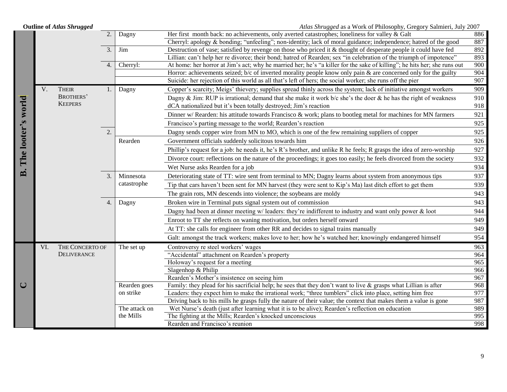|                    |     | <b>Outline of Atlas Shrugged</b>   |                  |                            | Atlas Shrugged as a Work of Philosophy, Gregory Salmieri, July 2007                                                      |            |
|--------------------|-----|------------------------------------|------------------|----------------------------|--------------------------------------------------------------------------------------------------------------------------|------------|
|                    |     |                                    | $\overline{2}$ . | Dagny                      | Her first month back: no achievements, only averted catastrophes; loneliness for valley $\&$ Galt                        | 886        |
|                    |     |                                    |                  |                            | Cherryl: apology & bonding; "unfeeling"; non-identity; lack of moral guidance; independence; hatred of the good          | 887        |
|                    |     |                                    | 3.               | Jim                        | Destruction of vase; satisfied by revenge on those who priced it & thought of desperate people it could have fed         | 892        |
|                    |     |                                    |                  |                            | Lillian: can't help her re divorce; their bond; hatred of Rearden; sex "in celebration of the triumph of impotence"      | 893        |
|                    |     |                                    | 4.               | Cherryl:                   | At home: her horror at Jim's act; why he married her; he's "a killer for the sake of killing"; he hits her; she runs out | 900        |
|                    |     |                                    |                  |                            | Horror: achievements seized; $b/c$ of inverted morality people know only pain $\&$ are concerned only for the guilty     | 904        |
|                    |     |                                    |                  |                            | Suicide: her rejection of this world as all that's left of hers; the social worker; she runs off the pier                | 907        |
|                    | V.  | <b>THEIR</b>                       |                  | Dagny                      | Copper's scarcity; Meigs' thievery; supplies spread thinly across the system; lack of initiative amongst workers         | 909        |
|                    |     | <b>BROTHERS'</b><br><b>KEEPERS</b> |                  |                            | Dagny & Jim: RUP is irrational; demand that she make it work $b/c$ she's the doer & he has the right of weakness         | 910        |
|                    |     |                                    |                  |                            | dCA nationalized but it's been totally destroyed; Jim's reaction                                                         | 918        |
|                    |     |                                    |                  |                            | Dinner w/ Rearden: his attitude towards Francisco & work; plans to bootleg metal for machines for MN farmers             | 921        |
|                    |     |                                    |                  |                            | Francisco's parting message to the world; Rearden's reaction                                                             | 925        |
|                    |     |                                    | 2.               |                            | Dagny sends copper wire from MN to MO, which is one of the few remaining suppliers of copper                             | 925        |
|                    |     |                                    |                  | Rearden                    | Government officials suddenly solicitous towards him                                                                     | 926        |
| The looter's world |     |                                    |                  |                            | Phillip's request for a job: he needs it, he's R's brother, and unlike R he feels; R grasps the idea of zero-worship     | 927        |
|                    |     |                                    |                  |                            | Divorce court: reflections on the nature of the proceedings; it goes too easily; he feels divorced from the society      | 932        |
|                    |     |                                    |                  |                            | Wet Nurse asks Rearden for a job                                                                                         | 934        |
| $\dot{a}$          |     |                                    | 3.               | Minnesota                  | Deteriorating state of TT: wire sent from terminal to MN; Dagny learns about system from anonymous tips                  | 937        |
|                    |     |                                    |                  | catastrophe                | Tip that cars haven't been sent for MN harvest (they were sent to Kip's Ma) last ditch effort to get them                | 939        |
|                    |     |                                    |                  |                            | The grain rots, MN descends into violence; the soybeans are moldy                                                        | 943        |
|                    |     |                                    | 4.               | Dagny                      | Broken wire in Terminal puts signal system out of commission                                                             | 943        |
|                    |     |                                    |                  |                            | Dagny had been at dinner meeting $w$ leaders: they're indifferent to industry and want only power $\&$ loot              | 944        |
|                    |     |                                    |                  |                            | Enroot to TT she reflects on waning motivation, but orders herself onward                                                | 949        |
|                    |     |                                    |                  |                            | At TT: she calls for engineer from other RR and decides to signal trains manually                                        | 949        |
|                    |     |                                    |                  |                            | Galt: amongst the track workers; makes love to her; how he's watched her; knowingly endangered himself                   | 954        |
|                    | VI. | THE CONCERTO OF                    |                  | The set up                 | Controversy re steel workers' wages                                                                                      | 963        |
|                    |     | <b>DELIVERANCE</b>                 |                  |                            | "Accidental" attachment on Rearden's property                                                                            | 964        |
|                    |     |                                    |                  |                            | Holoway's request for a meeting                                                                                          | 965        |
|                    |     |                                    |                  |                            | Slagenhop & Philip                                                                                                       | 966        |
|                    |     |                                    |                  |                            | Rearden's Mother's insistence on seeing him                                                                              | 967        |
| $\cup$             |     |                                    |                  | Rearden goes               | Family: they plead for his sacrificial help; he sees that they don't want to live $\&$ grasps what Lillian is after      | 968        |
|                    |     |                                    |                  | on strike                  | Leaders: they expect him to make the irrational work; "three tumblers" click into place, setting him free                | 977        |
|                    |     |                                    |                  |                            | Driving back to his mills he grasps fully the nature of their value; the context that makes them a value is gone         | 987        |
|                    |     |                                    |                  | The attack on<br>the Mills | Wet Nurse's death (just after learning what it is to be alive); Rearden's reflection on education                        | 989<br>995 |
|                    |     |                                    |                  |                            | The fighting at the Mills; Rearden's knocked unconscious<br>Rearden and Francisco's reunion                              | 998        |
|                    |     |                                    |                  |                            |                                                                                                                          |            |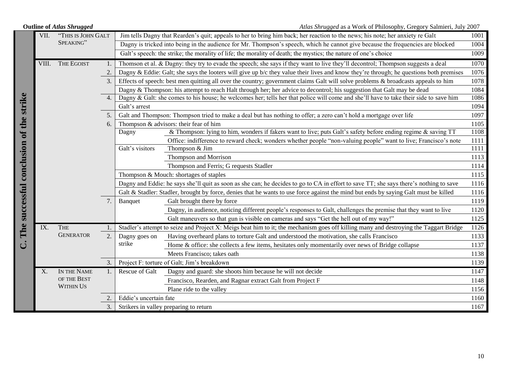| <b>Outline of Atlas Shrugged</b>        |       |                                                                                                                                        |                |                                                | Atlas Shrugged as a Work of Philosophy, Gregory Salmieri, July 2007                                                                    |      |  |  |
|-----------------------------------------|-------|----------------------------------------------------------------------------------------------------------------------------------------|----------------|------------------------------------------------|----------------------------------------------------------------------------------------------------------------------------------------|------|--|--|
|                                         | VII.  | "THIS IS JOHN GALT                                                                                                                     |                |                                                | Jim tells Dagny that Rearden's quit; appeals to her to bring him back; her reaction to the news; his note; her anxiety re Galt         | 1001 |  |  |
|                                         |       | SPEAKING"                                                                                                                              |                |                                                | Dagny is tricked into being in the audience for Mr. Thompson's speech, which he cannot give because the frequencies are blocked        | 1004 |  |  |
|                                         |       |                                                                                                                                        |                |                                                | Galt's speech: the strike; the morality of life; the morality of death; the mystics; the nature of one's choice                        | 1009 |  |  |
|                                         | VIII. | <b>THE EGOIST</b>                                                                                                                      | 1.             |                                                | Thomson et al. & Dagny: they try to evade the speech; she says if they want to live they'll decontrol; Thompson suggests a deal        | 1070 |  |  |
|                                         |       |                                                                                                                                        | 2.             |                                                | Dagny & Eddie: Galt; she says the looters will give up b/c they value their lives and know they're through; he questions both premises | 1076 |  |  |
|                                         |       |                                                                                                                                        | 3 <sub>1</sub> |                                                | Effects of speech: best men quitting all over the country; government claims Galt will solve problems & broadcasts appeals to him      | 1078 |  |  |
|                                         |       |                                                                                                                                        |                |                                                | Dagny & Thompson: his attempt to reach Halt through her; her advice to decontrol; his suggestion that Galt may be dead                 | 1084 |  |  |
|                                         |       |                                                                                                                                        | 4.             |                                                | Dagny & Galt: she comes to his house; he welcomes her; tells her that police will come and she'll have to take their side to save him  | 1086 |  |  |
|                                         |       |                                                                                                                                        |                | Galt's arrest                                  |                                                                                                                                        | 1094 |  |  |
|                                         |       |                                                                                                                                        | 5.             |                                                | Galt and Thompson: Thompson tried to make a deal but has nothing to offer; a zero can't hold a mortgage over life                      | 1097 |  |  |
|                                         |       |                                                                                                                                        | 6.             |                                                | Thompson & advisors: their fear of him                                                                                                 | 1105 |  |  |
|                                         |       |                                                                                                                                        |                | Dagny                                          | & Thompson: lying to him, wonders if fakers want to live; puts Galt's safety before ending regime & saving TT                          | 1108 |  |  |
|                                         |       |                                                                                                                                        |                |                                                | Office: indifference to reward check; wonders whether people "non-valuing people" want to live; Francisco's note                       | 1111 |  |  |
|                                         |       |                                                                                                                                        |                | Galt's visitors                                | Thompson & Jim                                                                                                                         | 1111 |  |  |
|                                         |       |                                                                                                                                        |                |                                                | Thompson and Morrison                                                                                                                  | 1113 |  |  |
|                                         |       |                                                                                                                                        |                |                                                | Thompson and Ferris; G requests Stadler                                                                                                | 1114 |  |  |
|                                         |       |                                                                                                                                        |                | Thompson & Mouch: shortages of staples<br>1115 |                                                                                                                                        |      |  |  |
|                                         |       | Dagny and Eddie: he says she'll quit as soon as she can; he decides to go to CA in effort to save TT; she says there's nothing to save | 1116           |                                                |                                                                                                                                        |      |  |  |
|                                         |       |                                                                                                                                        |                |                                                | Galt & Stadler: Stadler, brought by force, denies that he wants to use force against the mind but ends by saying Galt must be killed   | 1116 |  |  |
|                                         |       |                                                                                                                                        | 7.             | Banquet                                        | Galt brought there by force                                                                                                            | 1119 |  |  |
|                                         |       |                                                                                                                                        |                |                                                | Dagny, in audience, noticing different people's responses to Galt, challenges the premise that they want to live                       | 1120 |  |  |
| The successful conclusion of the strike |       |                                                                                                                                        |                |                                                | Galt maneuvers so that gun is visible on cameras and says "Get the hell out of my way!"                                                | 1125 |  |  |
|                                         | IX.   | <b>THE</b>                                                                                                                             |                |                                                | Stadler's attempt to seize and Project X: Meigs beat him to it; the mechanism goes off killing many and destroying the Taggart Bridge  | 1126 |  |  |
|                                         |       | <b>GENERATOR</b>                                                                                                                       | 2.             | Dagny goes on                                  | Having overheard plans to torture Galt and understood the motivation, she calls Francisco                                              | 1133 |  |  |
| $\vec{C}$                               |       |                                                                                                                                        |                | strike                                         | Home & office: she collects a few items, hesitates only momentarily over news of Bridge collapse                                       | 1137 |  |  |
|                                         |       |                                                                                                                                        |                |                                                | Meets Francisco; takes oath                                                                                                            | 1138 |  |  |
|                                         |       |                                                                                                                                        | 3.             |                                                | Project F: torture of Galt; Jim's breakdown                                                                                            | 1139 |  |  |
|                                         | X.    | IN THE NAME                                                                                                                            |                | Rescue of Galt                                 | Dagny and guard: she shoots him because he will not decide                                                                             | 1147 |  |  |
|                                         |       | OF THE BEST                                                                                                                            |                |                                                | Francisco, Rearden, and Ragnar extract Galt from Project F                                                                             | 1148 |  |  |
|                                         |       | <b>WITHIN US</b>                                                                                                                       |                |                                                | Plane ride to the valley                                                                                                               | 1156 |  |  |
|                                         |       |                                                                                                                                        | 2.             | Eddie's uncertain fate                         |                                                                                                                                        | 1160 |  |  |
|                                         |       |                                                                                                                                        | 3.             |                                                | Strikers in valley preparing to return                                                                                                 | 1167 |  |  |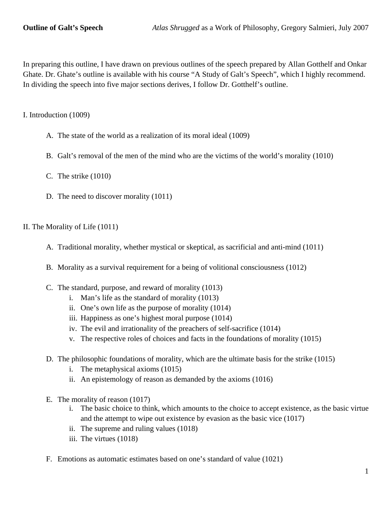In preparing this outline, I have drawn on previous outlines of the speech prepared by Allan Gotthelf and Onkar Ghate. Dr. Ghate's outline is available with his course "A Study of Galt's Speech", which I highly recommend. In dividing the speech into five major sections derives, I follow Dr. Gotthelf's outline.

I. Introduction (1009)

- A. The state of the world as a realization of its moral ideal (1009)
- B. Galt's removal of the men of the mind who are the victims of the world's morality (1010)
- C. The strike (1010)
- D. The need to discover morality (1011)

# II. The Morality of Life (1011)

- A. Traditional morality, whether mystical or skeptical, as sacrificial and anti-mind (1011)
- B. Morality as a survival requirement for a being of volitional consciousness (1012)
- C. The standard, purpose, and reward of morality (1013)
	- i. Man's life as the standard of morality (1013)
	- ii. One's own life as the purpose of morality (1014)
	- iii. Happiness as one's highest moral purpose (1014)
	- iv. The evil and irrationality of the preachers of self-sacrifice (1014)
	- v. The respective roles of choices and facts in the foundations of morality (1015)
- D. The philosophic foundations of morality, which are the ultimate basis for the strike (1015)
	- i. The metaphysical axioms (1015)
	- ii. An epistemology of reason as demanded by the axioms (1016)
- E. The morality of reason (1017)
	- i. The basic choice to think, which amounts to the choice to accept existence, as the basic virtue and the attempt to wipe out existence by evasion as the basic vice (1017)
	- ii. The supreme and ruling values (1018)
	- iii. The virtues (1018)
- F. Emotions as automatic estimates based on one's standard of value (1021)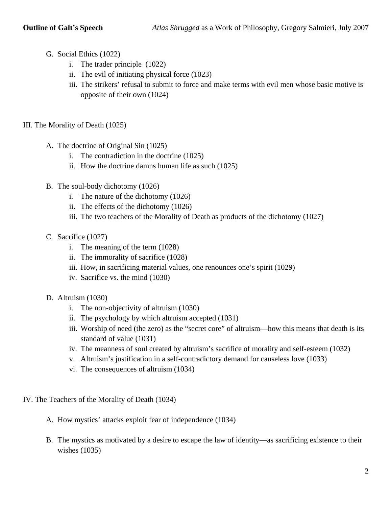- G. Social Ethics (1022)
	- i. The trader principle (1022)
	- ii. The evil of initiating physical force (1023)
	- iii. The strikers' refusal to submit to force and make terms with evil men whose basic motive is opposite of their own (1024)
- III. The Morality of Death (1025)
	- A. The doctrine of Original Sin (1025)
		- i. The contradiction in the doctrine (1025)
		- ii. How the doctrine damns human life as such (1025)
	- B. The soul-body dichotomy (1026)
		- i. The nature of the dichotomy (1026)
		- ii. The effects of the dichotomy (1026)
		- iii. The two teachers of the Morality of Death as products of the dichotomy (1027)
	- C. Sacrifice (1027)
		- i. The meaning of the term (1028)
		- ii. The immorality of sacrifice (1028)
		- iii. How, in sacrificing material values, one renounces one's spirit (1029)
		- iv. Sacrifice vs. the mind (1030)
	- D. Altruism (1030)
		- i. The non-objectivity of altruism (1030)
		- ii. The psychology by which altruism accepted (1031)
		- iii. Worship of need (the zero) as the "secret core" of altruism—how this means that death is its standard of value (1031)
		- iv. The meanness of soul created by altruism's sacrifice of morality and self-esteem (1032)
		- v. Altruism's justification in a self-contradictory demand for causeless love (1033)
		- vi. The consequences of altruism (1034)
- IV. The Teachers of the Morality of Death (1034)
	- A. How mystics' attacks exploit fear of independence (1034)
	- B. The mystics as motivated by a desire to escape the law of identity—as sacrificing existence to their wishes (1035)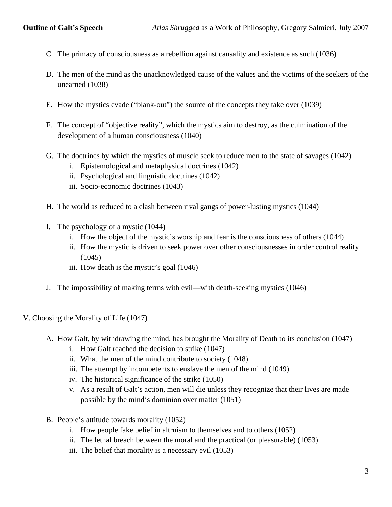- C. The primacy of consciousness as a rebellion against causality and existence as such (1036)
- D. The men of the mind as the unacknowledged cause of the values and the victims of the seekers of the unearned (1038)
- E. How the mystics evade ("blank-out") the source of the concepts they take over (1039)
- F. The concept of "objective reality", which the mystics aim to destroy, as the culmination of the development of a human consciousness (1040)
- G. The doctrines by which the mystics of muscle seek to reduce men to the state of savages (1042)
	- i. Epistemological and metaphysical doctrines (1042)
	- ii. Psychological and linguistic doctrines (1042)
	- iii. Socio-economic doctrines (1043)
- H. The world as reduced to a clash between rival gangs of power-lusting mystics (1044)
- I. The psychology of a mystic (1044)
	- i. How the object of the mystic's worship and fear is the consciousness of others (1044)
	- ii. How the mystic is driven to seek power over other consciousnesses in order control reality (1045)
	- iii. How death is the mystic's goal (1046)
- J. The impossibility of making terms with evil—with death-seeking mystics (1046)
- V. Choosing the Morality of Life (1047)
	- A. How Galt, by withdrawing the mind, has brought the Morality of Death to its conclusion (1047)
		- i. How Galt reached the decision to strike (1047)
		- ii. What the men of the mind contribute to society (1048)
		- iii. The attempt by incompetents to enslave the men of the mind (1049)
		- iv. The historical significance of the strike (1050)
		- v. As a result of Galt's action, men will die unless they recognize that their lives are made possible by the mind's dominion over matter (1051)
	- B. People's attitude towards morality (1052)
		- i. How people fake belief in altruism to themselves and to others (1052)
		- ii. The lethal breach between the moral and the practical (or pleasurable) (1053)
		- iii. The belief that morality is a necessary evil (1053)